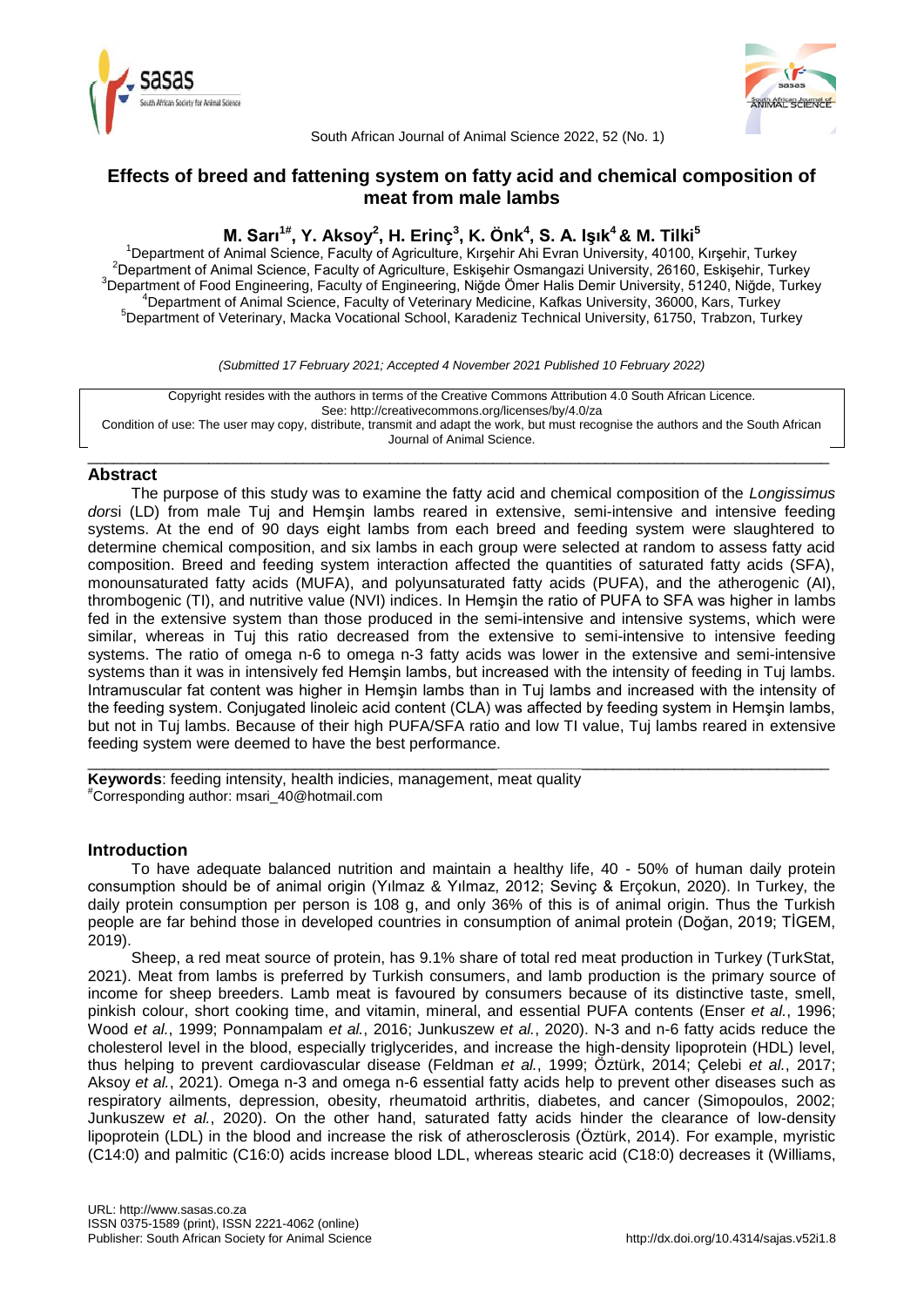



South African Journal of Animal Science 2022, 52 (No. 1)

# **Effects of breed and fattening system on fatty acid and chemical composition of meat from male lambs**

# **M. Sarı1# , Y. Aksoy<sup>2</sup> , H. Erinç<sup>3</sup> , K. Önk<sup>4</sup> , S. A. Işık<sup>4</sup>& M. Tilki<sup>5</sup>**

<sup>1</sup>Department of Animal Science, Faculty of Agriculture, Kırşehir Ahi Evran University, 40100, Kırşehir, Turkey 2Department of Animal Science, Faculty of Agriculture, Eskişehir Osmangazi University, 26160, Eskişehir, Turkey <sup>3</sup>Department of Food Engineering, Faculty of Engineering, Niğde Ömer Halis Demir University, 51240, Niğde, Turkey <sup>4</sup>Department of Animal Science, Faculty of Veterinary Medicine, Kafkas University, 36000, Kars, Turkey <sup>5</sup>Department of Veterinary, Macka Vocational School, Karadeniz Technical University, 61750, Trabzon, Turkey

*(Submitted 17 February 2021; Accepted 4 November 2021 Published 10 February 2022)*

Copyright resides with the authors in terms of the Creative Commons Attribution 4.0 South African Licence. See: http://creativecommons.org/licenses/by/4.0/za Condition of use: The user may copy, distribute, transmit and adapt the work, but must recognise the authors and the South African Journal of Animal Science.

\_\_\_\_\_\_\_\_\_\_\_\_\_\_\_\_\_\_\_\_\_\_\_\_\_\_\_\_\_\_\_\_\_\_\_\_\_\_\_\_\_\_\_\_\_\_\_\_\_\_\_\_\_\_\_\_\_\_\_\_\_\_\_\_\_\_\_\_\_\_\_\_\_\_\_\_\_\_\_\_\_\_\_\_\_\_

# **Abstract**

The purpose of this study was to examine the fatty acid and chemical composition of the *Longissimus dors*i (LD) from male Tuj and Hemşin lambs reared in extensive, semi-intensive and intensive feeding systems. At the end of 90 days eight lambs from each breed and feeding system were slaughtered to determine chemical composition, and six lambs in each group were selected at random to assess fatty acid composition. Breed and feeding system interaction affected the quantities of saturated fatty acids (SFA), monounsaturated fatty acids (MUFA), and polyunsaturated fatty acids (PUFA), and the atherogenic (AI), thrombogenic (TI), and nutritive value (NVI) indices. In Hemşin the ratio of PUFA to SFA was higher in lambs fed in the extensive system than those produced in the semi-intensive and intensive systems, which were similar, whereas in Tuj this ratio decreased from the extensive to semi-intensive to intensive feeding systems. The ratio of omega n-6 to omega n-3 fatty acids was lower in the extensive and semi-intensive systems than it was in intensively fed Hemşin lambs, but increased with the intensity of feeding in Tuj lambs. Intramuscular fat content was higher in Hemşin lambs than in Tuj lambs and increased with the intensity of the feeding system. Conjugated linoleic acid content (CLA) was affected by feeding system in Hemşin lambs, but not in Tuj lambs. Because of their high PUFA/SFA ratio and low TI value, Tuj lambs reared in extensive feeding system were deemed to have the best performance.

**Keywords**: feeding intensity, health indicies, management, meat quality #Corresponding author: msari\_40@hotmail.com

# **Introduction**

To have adequate balanced nutrition and maintain a healthy life, 40 - 50% of human daily protein consumption should be of animal origin (Yılmaz & Yılmaz, 2012; Sevinç & Erçokun, 2020). In Turkey, the daily protein consumption per person is 108 g, and only 36% of this is of animal origin. Thus the Turkish people are far behind those in developed countries in consumption of animal protein (Doğan, 2019; TİGEM, 2019).

\_\_\_\_\_\_\_\_\_\_\_\_\_\_\_\_\_\_\_\_\_\_\_\_\_\_\_\_\_\_\_\_\_\_\_\_\_\_\_\_\_\_\_\_\_\_\_\_\_\_\_\_\_\_\_\_\_\_\_\_\_\_\_\_\_\_\_\_\_\_\_\_\_\_\_\_\_\_\_\_\_\_\_\_\_\_

Sheep, a red meat source of protein, has 9.1% share of total red meat production in Turkey (TurkStat, 2021). Meat from lambs is preferred by Turkish consumers, and lamb production is the primary source of income for sheep breeders. Lamb meat is favoured by consumers because of its distinctive taste, smell, pinkish colour, short cooking time, and vitamin, mineral, and essential PUFA contents (Enser *et al.*, 1996; Wood *et al.*, 1999; Ponnampalam *et al.*, 2016; Junkuszew *et al.*, 2020). N-3 and n-6 fatty acids reduce the cholesterol level in the blood, especially triglycerides, and increase the high-density lipoprotein (HDL) level, thus helping to prevent cardiovascular disease (Feldman *et al.*, 1999; Öztürk, 2014; Çelebi *et al.*, 2017; Aksoy *et al.*, 2021). Omega n-3 and omega n-6 essential fatty acids help to prevent other diseases such as respiratory ailments, depression, obesity, rheumatoid arthritis, diabetes, and cancer (Simopoulos, 2002; Junkuszew *et al.*, 2020). On the other hand, saturated fatty acids hinder the clearance of low-density lipoprotein (LDL) in the blood and increase the risk of atherosclerosis (Öztürk, 2014). For example, myristic (C14:0) and palmitic (C16:0) acids increase blood LDL, whereas stearic acid (C18:0) decreases it (Williams,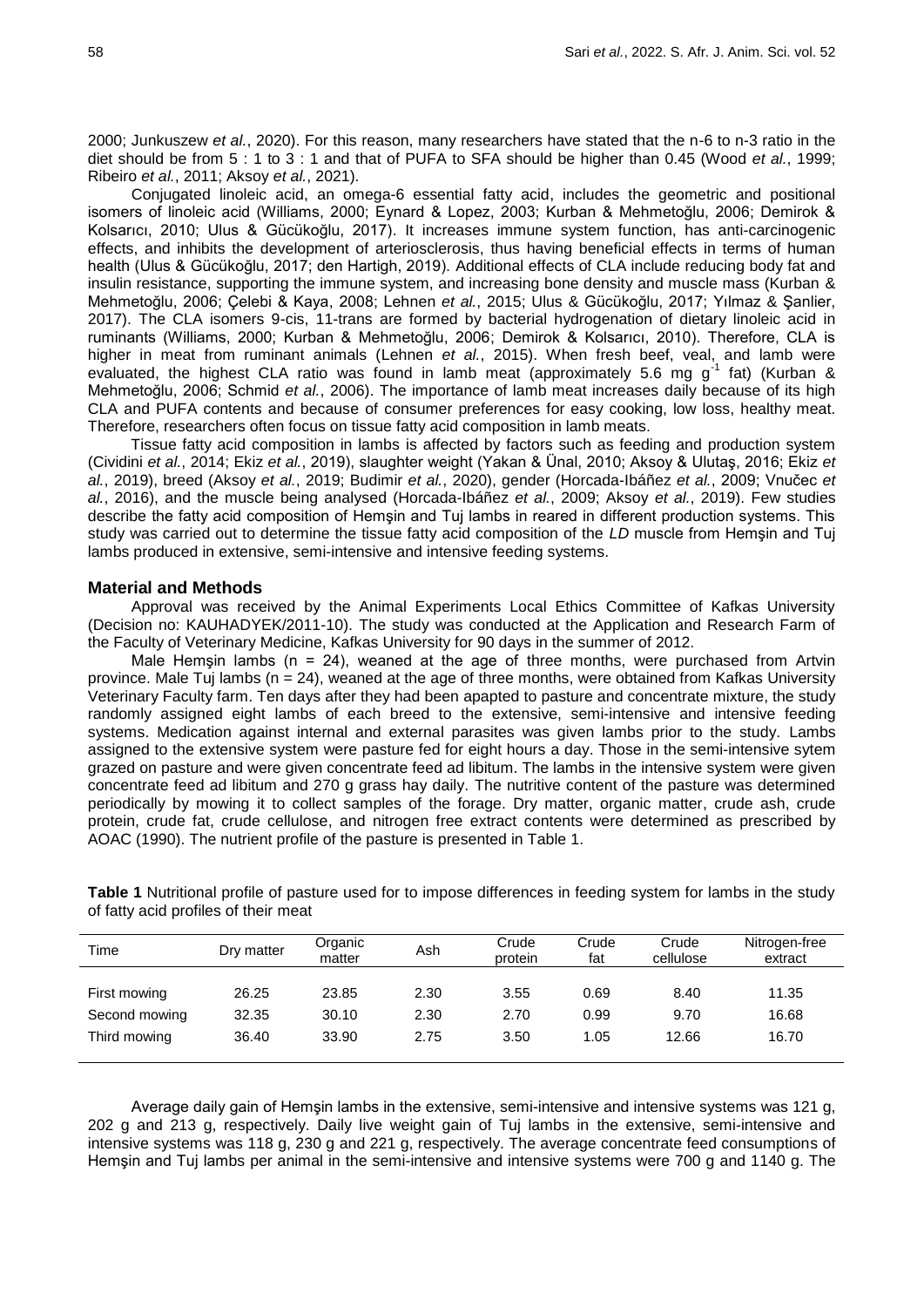2000; Junkuszew *et al.*, 2020). For this reason, many researchers have stated that the n-6 to n-3 ratio in the diet should be from 5 : 1 to 3 : 1 and that of PUFA to SFA should be higher than 0.45 (Wood *et al.*, 1999; Ribeiro *et al.*, 2011; Aksoy *et al.*, 2021).

Conjugated linoleic acid, an omega-6 essential fatty acid, includes the geometric and positional isomers of linoleic acid (Williams, 2000; Eynard & Lopez, 2003; Kurban & Mehmetoğlu, 2006; Demirok & Kolsarıcı, 2010; Ulus & Gücükoğlu, 2017). It increases immune system function, has anti-carcinogenic effects, and inhibits the development of arteriosclerosis, thus having beneficial effects in terms of human health (Ulus & Gücükoğlu, 2017; den Hartigh, 2019). Additional effects of CLA include reducing body fat and insulin resistance, supporting the immune system, and increasing bone density and muscle mass (Kurban & Mehmetoğlu, 2006; Çelebi & Kaya, 2008; Lehnen *et al.*, 2015; Ulus & Gücükoğlu, 2017; Yılmaz & Şanlier, 2017). The CLA isomers 9-cis, 11-trans are formed by bacterial hydrogenation of dietary linoleic acid in ruminants (Williams, 2000; Kurban & Mehmetoğlu, 2006; Demirok & Kolsarıcı, 2010). Therefore, CLA is higher in meat from ruminant animals (Lehnen *et al.*, 2015). When fresh beef, veal, and lamb were evaluated, the highest CLA ratio was found in lamb meat (approximately 5.6 mg g<sup>-1</sup> fat) (Kurban & Mehmetoğlu, 2006; Schmid *et al.*, 2006). The importance of lamb meat increases daily because of its high CLA and PUFA contents and because of consumer preferences for easy cooking, low loss, healthy meat. Therefore, researchers often focus on tissue fatty acid composition in lamb meats.

Tissue fatty acid composition in lambs is affected by factors such as feeding and production system (Cividini *et al.*, 2014; Ekiz *et al.*, 2019), slaughter weight (Yakan & Ünal, 2010; Aksoy & Ulutaş, 2016; Ekiz *et al.*, 2019), breed (Aksoy *et al.*, 2019; Budimir *et al.*, 2020), gender (Horcada-Ibáñez *et al.*, 2009; Vnučec *et al.*, 2016), and the muscle being analysed (Horcada-Ibáñez *et al.*, 2009; Aksoy *et al.*, 2019). Few studies describe the fatty acid composition of Hemşin and Tuj lambs in reared in different production systems. This study was carried out to determine the tissue fatty acid composition of the *LD* muscle from Hemşin and Tuj lambs produced in extensive, semi-intensive and intensive feeding systems.

## **Material and Methods**

Approval was received by the Animal Experiments Local Ethics Committee of Kafkas University (Decision no: KAUHADYEK/2011-10). The study was conducted at the Application and Research Farm of the Faculty of Veterinary Medicine, Kafkas University for 90 days in the summer of 2012.

Male Hemşin lambs ( $n = 24$ ), weaned at the age of three months, were purchased from Artvin province. Male Tuj lambs (n = 24), weaned at the age of three months, were obtained from Kafkas University Veterinary Faculty farm. Ten days after they had been apapted to pasture and concentrate mixture, the study randomly assigned eight lambs of each breed to the extensive, semi-intensive and intensive feeding systems. Medication against internal and external parasites was given lambs prior to the study. Lambs assigned to the extensive system were pasture fed for eight hours a day. Those in the semi-intensive sytem grazed on pasture and were given concentrate feed ad libitum. The lambs in the intensive system were given concentrate feed ad libitum and 270 g grass hay daily. The nutritive content of the pasture was determined periodically by mowing it to collect samples of the forage. Dry matter, organic matter, crude ash, crude protein, crude fat, crude cellulose, and nitrogen free extract contents were determined as prescribed by AOAC (1990). The nutrient profile of the pasture is presented in Table 1.

**Table 1** Nutritional profile of pasture used for to impose differences in feeding system for lambs in the study of fatty acid profiles of their meat

| Time          | Dry matter | Organic<br>matter | Ash  | Crude<br>protein | Crude<br>Crude<br>cellulose<br>fat |       | Nitrogen-free<br>extract |  |
|---------------|------------|-------------------|------|------------------|------------------------------------|-------|--------------------------|--|
|               |            |                   |      |                  |                                    |       |                          |  |
| First mowing  | 26.25      | 23.85             | 2.30 | 3.55             | 0.69                               | 8.40  | 11.35                    |  |
| Second mowing | 32.35      | 30.10             | 2.30 | 2.70             | 0.99                               | 9.70  | 16.68                    |  |
| Third mowing  | 36.40      | 33.90             | 2.75 | 3.50             | 1.05                               | 12.66 | 16.70                    |  |

Average daily gain of Hemşin lambs in the extensive, semi-intensive and intensive systems was 121 g, 202 g and 213 g, respectively. Daily live weight gain of Tuj lambs in the extensive, semi-intensive and intensive systems was 118 g, 230 g and 221 g, respectively. The average concentrate feed consumptions of Hemşin and Tuj lambs per animal in the semi-intensive and intensive systems were 700 g and 1140 g. The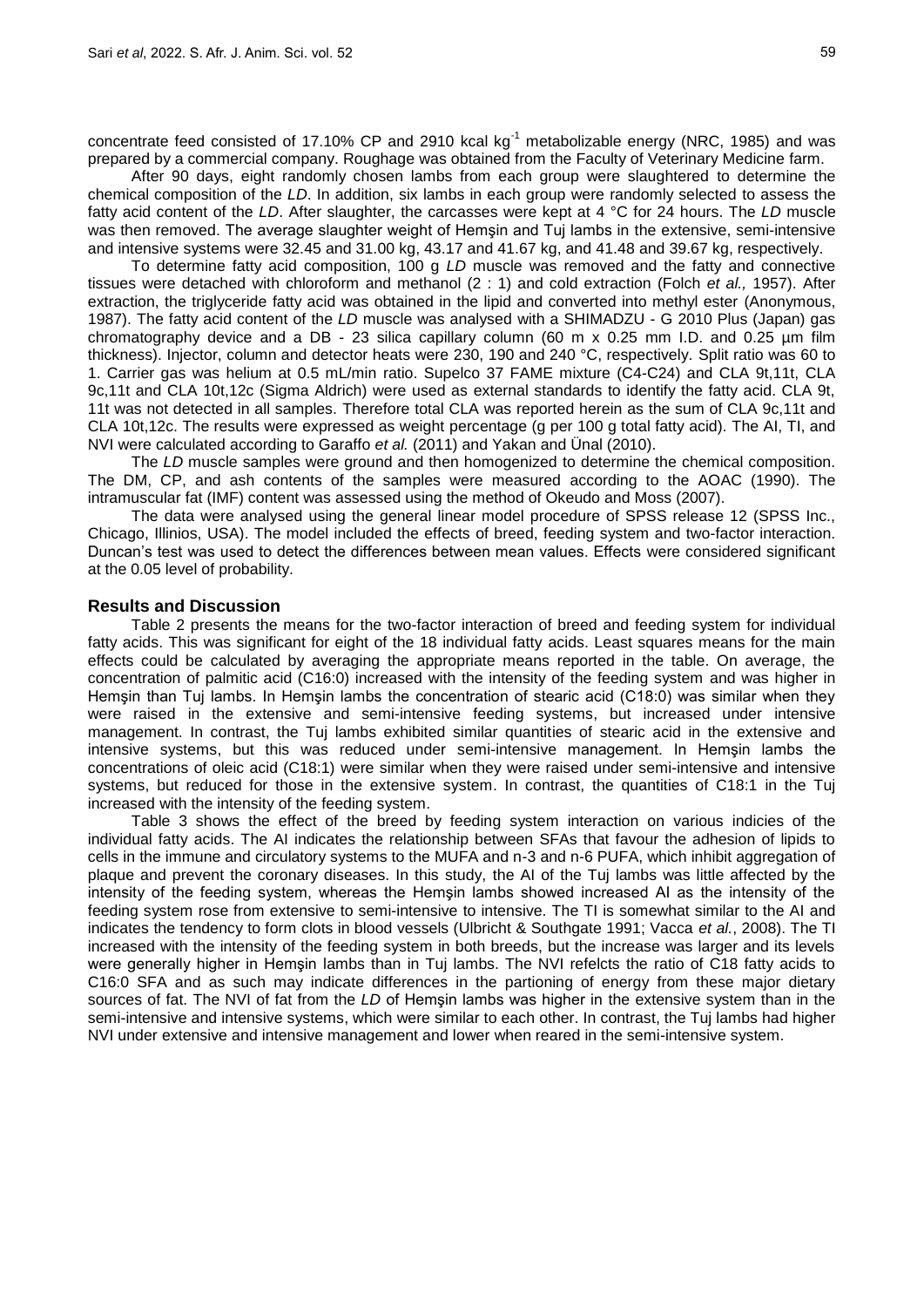concentrate feed consisted of 17.10% CP and 2910 kcal  $kg<sup>-1</sup>$  metabolizable energy (NRC, 1985) and was prepared by a commercial company. Roughage was obtained from the Faculty of Veterinary Medicine farm.

After 90 days, eight randomly chosen lambs from each group were slaughtered to determine the chemical composition of the *LD*. In addition, six lambs in each group were randomly selected to assess the fatty acid content of the *LD*. After slaughter, the carcasses were kept at 4 °C for 24 hours. The *LD* muscle was then removed. The average slaughter weight of Hemşin and Tuj lambs in the extensive, semi-intensive and intensive systems were 32.45 and 31.00 kg, 43.17 and 41.67 kg, and 41.48 and 39.67 kg, respectively.

To determine fatty acid composition, 100 g *LD* muscle was removed and the fatty and connective tissues were detached with chloroform and methanol (2 : 1) and cold extraction (Folch *et al.,* 1957). After extraction, the triglyceride fatty acid was obtained in the lipid and converted into methyl ester (Anonymous, 1987). The fatty acid content of the *LD* muscle was analysed with a SHIMADZU - G 2010 Plus (Japan) gas chromatography device and a DB - 23 silica capillary column (60 m x 0.25 mm I.D. and 0.25 µm film thickness). Injector, column and detector heats were 230, 190 and 240 °C, respectively. Split ratio was 60 to 1. Carrier gas was helium at 0.5 mL/min ratio. Supelco 37 FAME mixture (C4-C24) and CLA 9t,11t, CLA 9c,11t and CLA 10t,12c (Sigma Aldrich) were used as external standards to identify the fatty acid. CLA 9t, 11t was not detected in all samples. Therefore total CLA was reported herein as the sum of CLA 9c,11t and CLA 10t,12c. The results were expressed as weight percentage (g per 100 g total fatty acid). The AI, TI, and NVI were calculated according to Garaffo *et al.* (2011) and Yakan and Ünal (2010).

The *LD* muscle samples were ground and then homogenized to determine the chemical composition. The DM, CP, and ash contents of the samples were measured according to the AOAC (1990). The intramuscular fat (IMF) content was assessed using the method of Okeudo and Moss (2007).

The data were analysed using the general linear model procedure of SPSS release 12 (SPSS Inc., Chicago, Illinios, USA). The model included the effects of breed, feeding system and two-factor interaction. Duncan's test was used to detect the differences between mean values. Effects were considered significant at the 0.05 level of probability.

## **Results and Discussion**

Table 2 presents the means for the two-factor interaction of breed and feeding system for individual fatty acids. This was significant for eight of the 18 individual fatty acids. Least squares means for the main effects could be calculated by averaging the appropriate means reported in the table. On average, the concentration of palmitic acid (C16:0) increased with the intensity of the feeding system and was higher in Hemşin than Tuj lambs. In Hemşin lambs the concentration of stearic acid (C18:0) was similar when they were raised in the extensive and semi-intensive feeding systems, but increased under intensive management. In contrast, the Tuj lambs exhibited similar quantities of stearic acid in the extensive and intensive systems, but this was reduced under semi-intensive management. In Hemşin lambs the concentrations of oleic acid (C18:1) were similar when they were raised under semi-intensive and intensive systems, but reduced for those in the extensive system. In contrast, the quantities of C18:1 in the Tuj increased with the intensity of the feeding system.

Table 3 shows the effect of the breed by feeding system interaction on various indicies of the individual fatty acids. The AI indicates the relationship between SFAs that favour the adhesion of lipids to cells in the immune and circulatory systems to the MUFA and n-3 and n-6 PUFA, which inhibit aggregation of plaque and prevent the coronary diseases. In this study, the AI of the Tuj lambs was little affected by the intensity of the feeding system, whereas the Hemşin lambs showed increased AI as the intensity of the feeding system rose from extensive to semi-intensive to intensive. The TI is somewhat similar to the AI and indicates the tendency to form clots in blood vessels (Ulbricht & Southgate 1991; Vacca *et al.*, 2008). The TI increased with the intensity of the feeding system in both breeds, but the increase was larger and its levels were generally higher in Hemşin lambs than in Tuj lambs. The NVI refelcts the ratio of C18 fatty acids to C16:0 SFA and as such may indicate differences in the partioning of energy from these major dietary sources of fat. The NVI of fat from the *LD* of Hemşin lambs was higher in the extensive system than in the semi-intensive and intensive systems, which were similar to each other. In contrast, the Tuj lambs had higher NVI under extensive and intensive management and lower when reared in the semi-intensive system.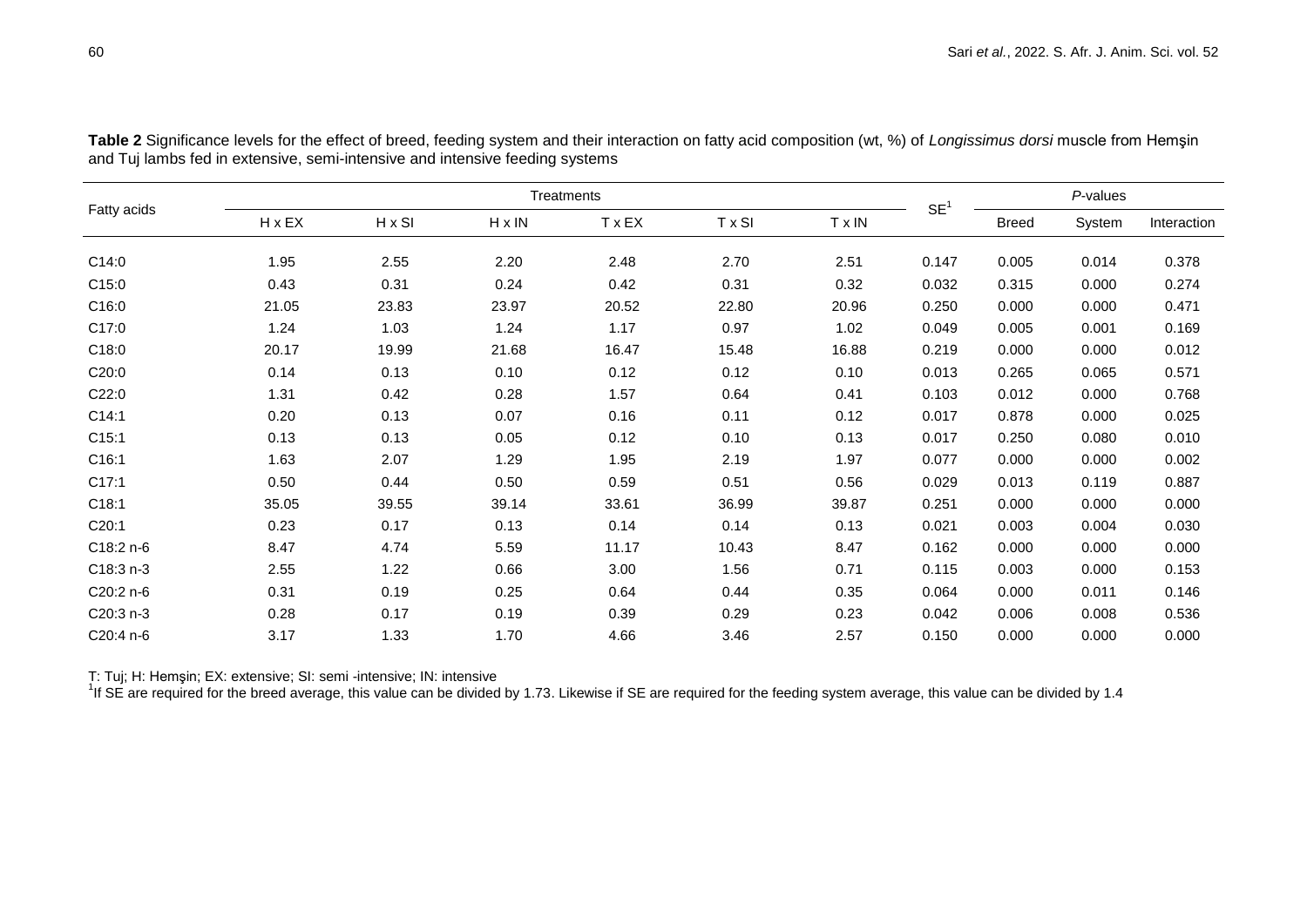| Fatty acids |               | Treatments    |               |             |               |        |                 |              | P-values |             |  |
|-------------|---------------|---------------|---------------|-------------|---------------|--------|-----------------|--------------|----------|-------------|--|
|             | $H \times EX$ | $H \times SI$ | $H \times IN$ | <b>TxEX</b> | $T \times SI$ | T x IN | SE <sup>1</sup> | <b>Breed</b> | System   | Interaction |  |
| C14:0       | 1.95          | 2.55          | 2.20          | 2.48        | 2.70          | 2.51   | 0.147           | 0.005        | 0.014    | 0.378       |  |
| C15:0       | 0.43          | 0.31          | 0.24          | 0.42        | 0.31          | 0.32   | 0.032           | 0.315        | 0.000    | 0.274       |  |
| C16:0       | 21.05         | 23.83         | 23.97         | 20.52       | 22.80         | 20.96  | 0.250           | 0.000        | 0.000    | 0.471       |  |
| C17:0       | 1.24          | 1.03          | 1.24          | 1.17        | 0.97          | 1.02   | 0.049           | 0.005        | 0.001    | 0.169       |  |
| C18:0       | 20.17         | 19.99         | 21.68         | 16.47       | 15.48         | 16.88  | 0.219           | 0.000        | 0.000    | 0.012       |  |
| C20:0       | 0.14          | 0.13          | 0.10          | 0.12        | 0.12          | 0.10   | 0.013           | 0.265        | 0.065    | 0.571       |  |
| C22:0       | 1.31          | 0.42          | 0.28          | 1.57        | 0.64          | 0.41   | 0.103           | 0.012        | 0.000    | 0.768       |  |
| C14:1       | 0.20          | 0.13          | 0.07          | 0.16        | 0.11          | 0.12   | 0.017           | 0.878        | 0.000    | 0.025       |  |
| C15:1       | 0.13          | 0.13          | 0.05          | 0.12        | 0.10          | 0.13   | 0.017           | 0.250        | 0.080    | 0.010       |  |
| C16:1       | 1.63          | 2.07          | 1.29          | 1.95        | 2.19          | 1.97   | 0.077           | 0.000        | 0.000    | 0.002       |  |
| C17:1       | 0.50          | 0.44          | 0.50          | 0.59        | 0.51          | 0.56   | 0.029           | 0.013        | 0.119    | 0.887       |  |
| C18:1       | 35.05         | 39.55         | 39.14         | 33.61       | 36.99         | 39.87  | 0.251           | 0.000        | 0.000    | 0.000       |  |
| C20:1       | 0.23          | 0.17          | 0.13          | 0.14        | 0.14          | 0.13   | 0.021           | 0.003        | 0.004    | 0.030       |  |
| C18:2 n-6   | 8.47          | 4.74          | 5.59          | 11.17       | 10.43         | 8.47   | 0.162           | 0.000        | 0.000    | 0.000       |  |
| $C18:3 n-3$ | 2.55          | 1.22          | 0.66          | 3.00        | 1.56          | 0.71   | 0.115           | 0.003        | 0.000    | 0.153       |  |
| C20:2 n-6   | 0.31          | 0.19          | 0.25          | 0.64        | 0.44          | 0.35   | 0.064           | 0.000        | 0.011    | 0.146       |  |
| C20:3 n-3   | 0.28          | 0.17          | 0.19          | 0.39        | 0.29          | 0.23   | 0.042           | 0.006        | 0.008    | 0.536       |  |
| C20:4 n-6   | 3.17          | 1.33          | 1.70          | 4.66        | 3.46          | 2.57   | 0.150           | 0.000        | 0.000    | 0.000       |  |

**Table 2** Significance levels for the effect of breed, feeding system and their interaction on fatty acid composition (wt, %) of *Longissimus dorsi* muscle from Hemşin and Tuj lambs fed in extensive, semi-intensive and intensive feeding systems

T: Tuj; H: Hemşin; EX: extensive; SI: semi -intensive; IN: intensive<br><sup>1</sup>If SE are required for the breed average, this value can be divided by 1.73. Likewise if SE are required for the feeding system average, this value ca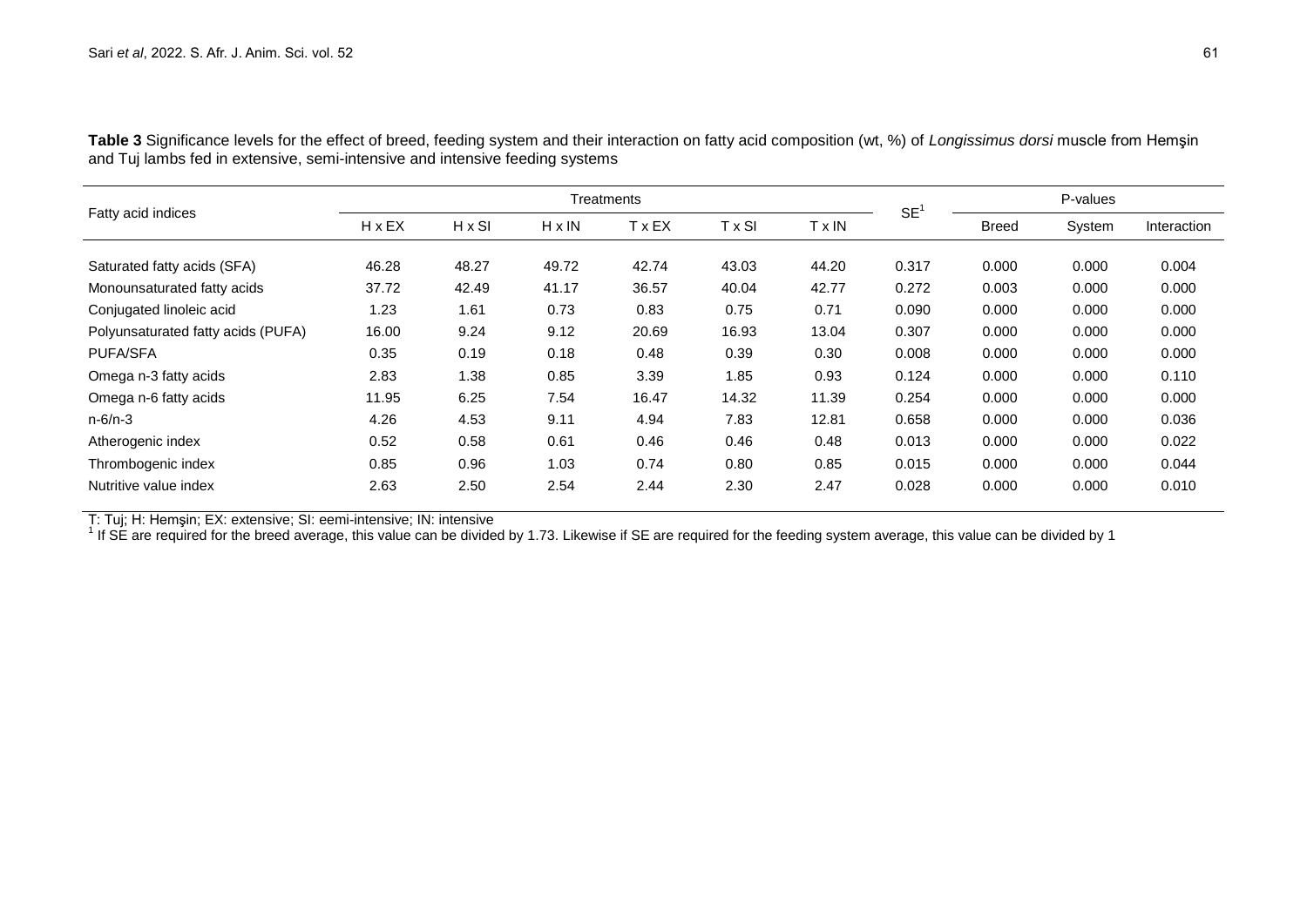|                                    | Treatments    |               |               |               |        |       |           | P-values     |        |             |
|------------------------------------|---------------|---------------|---------------|---------------|--------|-------|-----------|--------------|--------|-------------|
| Fatty acid indices                 | $H \times EX$ | $H \times SI$ | $H \times IN$ | $T \times EX$ | T x SI | Tx IN | <b>SE</b> | <b>Breed</b> | System | Interaction |
| Saturated fatty acids (SFA)        | 46.28         | 48.27         | 49.72         | 42.74         | 43.03  | 44.20 | 0.317     | 0.000        | 0.000  | 0.004       |
| Monounsaturated fatty acids        | 37.72         | 42.49         | 41.17         | 36.57         | 40.04  | 42.77 | 0.272     | 0.003        | 0.000  | 0.000       |
| Conjugated linoleic acid           | 1.23          | 1.61          | 0.73          | 0.83          | 0.75   | 0.71  | 0.090     | 0.000        | 0.000  | 0.000       |
| Polyunsaturated fatty acids (PUFA) | 16.00         | 9.24          | 9.12          | 20.69         | 16.93  | 13.04 | 0.307     | 0.000        | 0.000  | 0.000       |
| <b>PUFA/SFA</b>                    | 0.35          | 0.19          | 0.18          | 0.48          | 0.39   | 0.30  | 0.008     | 0.000        | 0.000  | 0.000       |
| Omega n-3 fatty acids              | 2.83          | 1.38          | 0.85          | 3.39          | 1.85   | 0.93  | 0.124     | 0.000        | 0.000  | 0.110       |
| Omega n-6 fatty acids              | 11.95         | 6.25          | 7.54          | 16.47         | 14.32  | 11.39 | 0.254     | 0.000        | 0.000  | 0.000       |
| $n - 6/n - 3$                      | 4.26          | 4.53          | 9.11          | 4.94          | 7.83   | 12.81 | 0.658     | 0.000        | 0.000  | 0.036       |
| Atherogenic index                  | 0.52          | 0.58          | 0.61          | 0.46          | 0.46   | 0.48  | 0.013     | 0.000        | 0.000  | 0.022       |
| Thrombogenic index                 | 0.85          | 0.96          | 1.03          | 0.74          | 0.80   | 0.85  | 0.015     | 0.000        | 0.000  | 0.044       |
| Nutritive value index              | 2.63          | 2.50          | 2.54          | 2.44          | 2.30   | 2.47  | 0.028     | 0.000        | 0.000  | 0.010       |

**Table 3** Significance levels for the effect of breed, feeding system and their interaction on fatty acid composition (wt, %) of *Longissimus dorsi* muscle from Hemşin and Tuj lambs fed in extensive, semi-intensive and intensive feeding systems

T: Tuj; H: Hemşin; EX: extensive; SI: eemi-intensive; IN: intensive<br><sup>1</sup> If SE are required for the breed average, this value can be divided by 1.73. Likewise if SE are required for the feeding system average, this value ca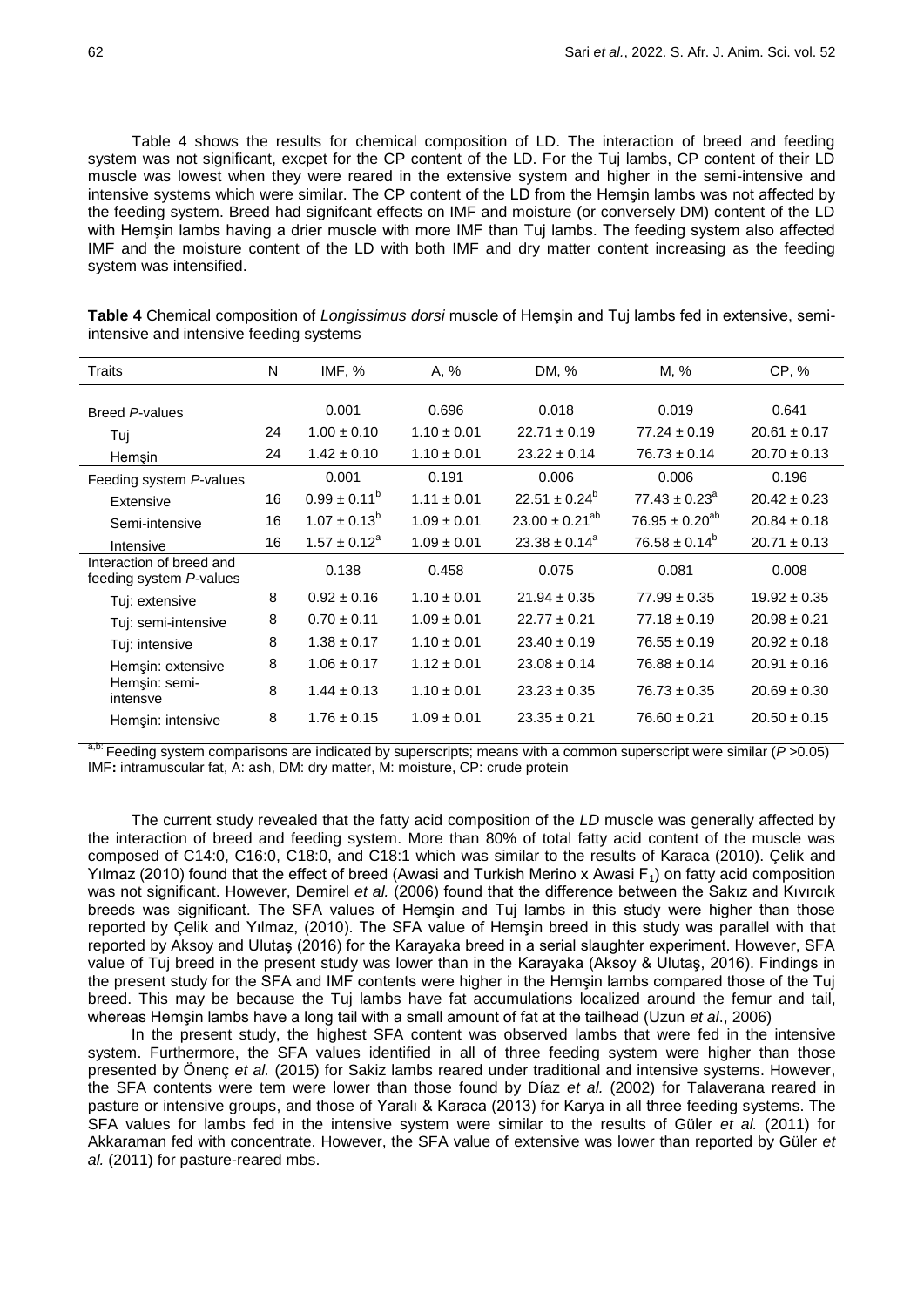Table 4 shows the results for chemical composition of LD. The interaction of breed and feeding system was not significant, excpet for the CP content of the LD. For the Tuj lambs, CP content of their LD muscle was lowest when they were reared in the extensive system and higher in the semi-intensive and intensive systems which were similar. The CP content of the LD from the Hemşin lambs was not affected by the feeding system. Breed had signifcant effects on IMF and moisture (or conversely DM) content of the LD with Hemşin lambs having a drier muscle with more IMF than Tuj lambs. The feeding system also affected IMF and the moisture content of the LD with both IMF and dry matter content increasing as the feeding system was intensified.

| Traits                                              | N  | IMF, %                  | A, %            | DM, %                 | M, %                     | CP, %            |
|-----------------------------------------------------|----|-------------------------|-----------------|-----------------------|--------------------------|------------------|
| Breed P-values                                      |    | 0.001                   | 0.696           | 0.018                 | 0.019                    | 0.641            |
| Tuj                                                 | 24 | $1.00 \pm 0.10$         | $1.10 \pm 0.01$ | $22.71 \pm 0.19$      | $77.24 \pm 0.19$         | $20.61 \pm 0.17$ |
| Hemşin                                              | 24 | $1.42 \pm 0.10$         | $1.10 \pm 0.01$ | $23.22 \pm 0.14$      | $76.73 \pm 0.14$         | $20.70 \pm 0.13$ |
| Feeding system P-values                             |    | 0.001                   | 0.191           | 0.006                 | 0.006                    | 0.196            |
| Extensive                                           | 16 | $0.99 \pm 0.11^b$       | $1.11 \pm 0.01$ | $22.51 \pm 0.24^b$    | $77.43 \pm 0.23^{\circ}$ | $20.42 \pm 0.23$ |
| Semi-intensive                                      | 16 | $1.07 \pm 0.13^{\circ}$ | $1.09 \pm 0.01$ | $23.00 \pm 0.21^{ab}$ | $76.95 \pm 0.20^{ab}$    | $20.84 \pm 0.18$ |
| Intensive                                           | 16 | $1.57 \pm 0.12^a$       | $1.09 \pm 0.01$ | $23.38 \pm 0.14^a$    | $76.58 \pm 0.14^{\circ}$ | $20.71 \pm 0.13$ |
| Interaction of breed and<br>feeding system P-values |    | 0.138                   | 0.458           | 0.075                 | 0.081                    | 0.008            |
| Tuj: extensive                                      | 8  | $0.92 \pm 0.16$         | $1.10 \pm 0.01$ | $21.94 \pm 0.35$      | $77.99 \pm 0.35$         | $19.92 \pm 0.35$ |
| Tuj: semi-intensive                                 | 8  | $0.70 \pm 0.11$         | $1.09 \pm 0.01$ | $22.77 \pm 0.21$      | $77.18 \pm 0.19$         | $20.98 \pm 0.21$ |
| Tuj: intensive                                      | 8  | $1.38 \pm 0.17$         | $1.10 \pm 0.01$ | $23.40 \pm 0.19$      | $76.55 \pm 0.19$         | $20.92 \pm 0.18$ |
| Hemşin: extensive                                   | 8  | $1.06 \pm 0.17$         | $1.12 \pm 0.01$ | $23.08 \pm 0.14$      | $76.88 \pm 0.14$         | $20.91 \pm 0.16$ |
| Hemşin: semi-<br>intensve                           | 8  | $1.44 \pm 0.13$         | $1.10 \pm 0.01$ | $23.23 \pm 0.35$      | $76.73 \pm 0.35$         | $20.69 \pm 0.30$ |
| Hemșin: intensive                                   | 8  | $1.76 \pm 0.15$         | $1.09 \pm 0.01$ | $23.35 \pm 0.21$      | $76.60 \pm 0.21$         | $20.50 \pm 0.15$ |

**Table 4** Chemical composition of *Longissimus dorsi* muscle of Hemşin and Tuj lambs fed in extensive, semiintensive and intensive feeding systems

a,b: Feeding system comparisons are indicated by superscripts; means with a common superscript were similar (*P* >0.05) IMF**:** intramuscular fat, A: ash, DM: dry matter, M: moisture, CP: crude protein

The current study revealed that the fatty acid composition of the *LD* muscle was generally affected by the interaction of breed and feeding system. More than 80% of total fatty acid content of the muscle was composed of C14:0, C16:0, C18:0, and C18:1 which was similar to the results of Karaca (2010). Çelik and Yilmaz (2010) found that the effect of breed (Awasi and Turkish Merino x Awasi  $F_1$ ) on fatty acid composition was not significant. However, Demirel *et al.* (2006) found that the difference between the Sakız and Kıvırcık breeds was significant. The SFA values of Hemşin and Tuj lambs in this study were higher than those reported by Çelik and Yılmaz, (2010). The SFA value of Hemşin breed in this study was parallel with that reported by Aksoy and Ulutaş (2016) for the Karayaka breed in a serial slaughter experiment. However, SFA value of Tuj breed in the present study was lower than in the Karayaka (Aksoy & Ulutaş, 2016). Findings in the present study for the SFA and IMF contents were higher in the Hemşin lambs compared those of the Tuj breed. This may be because the Tuj lambs have fat accumulations localized around the femur and tail, whereas Hemşin lambs have a long tail with a small amount of fat at the tailhead (Uzun *et al*., 2006)

In the present study, the highest SFA content was observed lambs that were fed in the intensive system. Furthermore, the SFA values identified in all of three feeding system were higher than those presented by Önenç *et al.* (2015) for Sakiz lambs reared under traditional and intensive systems. However, the SFA contents were tem were lower than those found by Díaz *et al.* (2002) for Talaverana reared in pasture or intensive groups, and those of Yaralı & Karaca (2013) for Karya in all three feeding systems. The SFA values for lambs fed in the intensive system were similar to the results of Güler *et al.* (2011) for Akkaraman fed with concentrate. However, the SFA value of extensive was lower than reported by Güler *et al.* (2011) for pasture-reared mbs.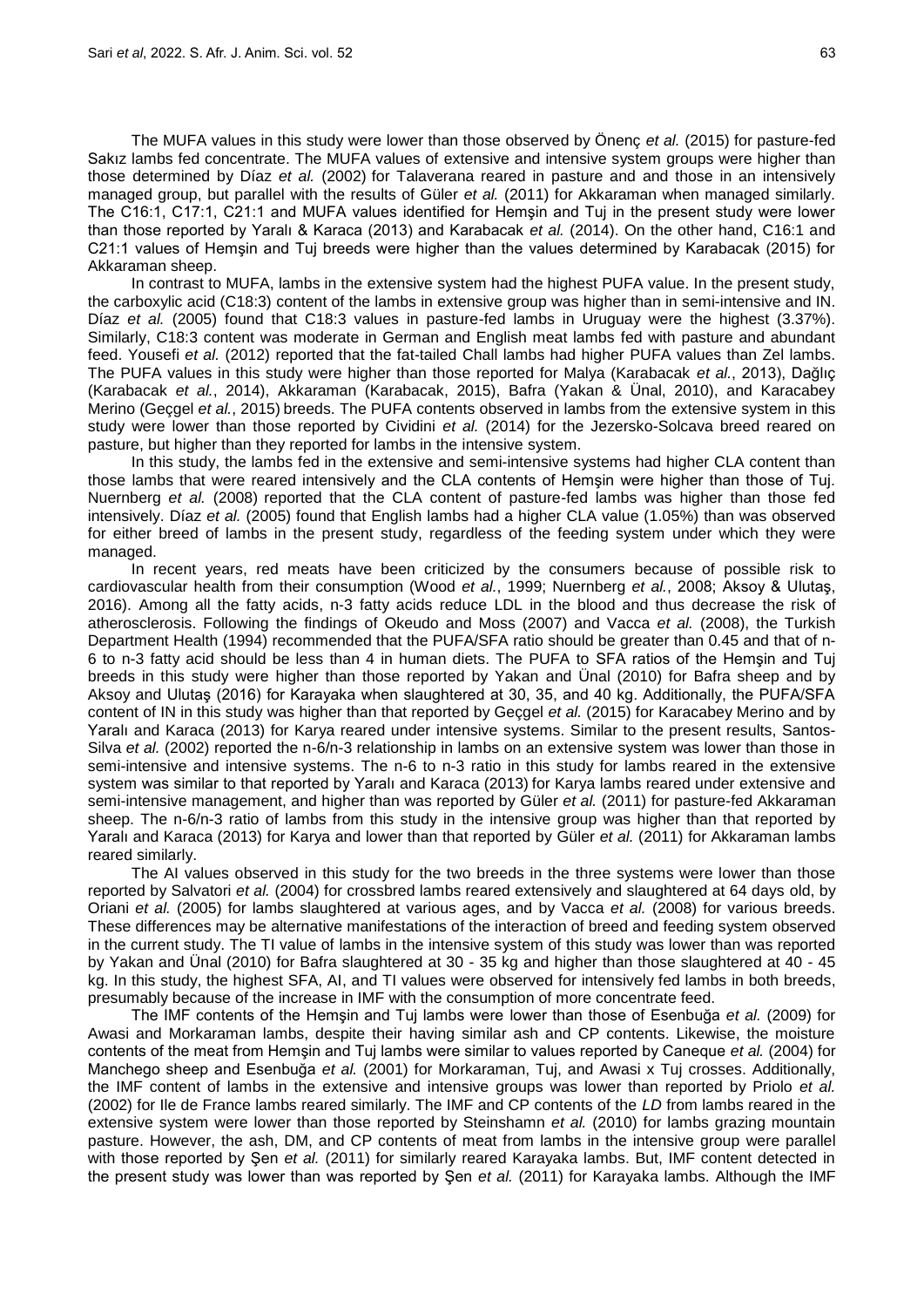The MUFA values in this study were lower than those observed by Önenç *et al.* (2015) for pasture-fed Sakız lambs fed concentrate. The MUFA values of extensive and intensive system groups were higher than those determined by Díaz *et al.* (2002) for Talaverana reared in pasture and and those in an intensively managed group, but parallel with the results of Güler *et al.* (2011) for Akkaraman when managed similarly. The C16:1, C17:1, C21:1 and MUFA values identified for Hemşin and Tuj in the present study were lower than those reported by Yaralı & Karaca (2013) and Karabacak *et al.* (2014). On the other hand, C16:1 and C21:1 values of Hemşin and Tuj breeds were higher than the values determined by Karabacak (2015) for Akkaraman sheep.

In contrast to MUFA, lambs in the extensive system had the highest PUFA value. In the present study, the carboxylic acid (C18:3) content of the lambs in extensive group was higher than in semi-intensive and IN. Díaz *et al.* (2005) found that C18:3 values in pasture-fed lambs in Uruguay were the highest (3.37%). Similarly, C18:3 content was moderate in German and English meat lambs fed with pasture and abundant feed. Yousefi *et al.* (2012) reported that the fat-tailed Chall lambs had higher PUFA values than Zel lambs. The PUFA values in this study were higher than those reported for Malya (Karabacak *et al.*, 2013), Dağlıç (Karabacak *et al.*, 2014), Akkaraman (Karabacak, 2015), Bafra (Yakan & Ünal, 2010), and Karacabey Merino (Geçgel *et al.*, 2015) breeds. The PUFA contents observed in lambs from the extensive system in this study were lower than those reported by Cividini *et al.* (2014) for the Jezersko-Solcava breed reared on pasture, but higher than they reported for lambs in the intensive system.

In this study, the lambs fed in the extensive and semi-intensive systems had higher CLA content than those lambs that were reared intensively and the CLA contents of Hemşin were higher than those of Tuj. Nuernberg *et al.* (2008) reported that the CLA content of pasture-fed lambs was higher than those fed intensively. Díaz *et al.* (2005) found that English lambs had a higher CLA value (1.05%) than was observed for either breed of lambs in the present study, regardless of the feeding system under which they were managed.

In recent years, red meats have been criticized by the consumers because of possible risk to cardiovascular health from their consumption (Wood *et al.*, 1999; Nuernberg *et al.*, 2008; Aksoy & Ulutaş, 2016). Among all the fatty acids, n-3 fatty acids reduce LDL in the blood and thus decrease the risk of atherosclerosis. Following the findings of Okeudo and Moss (2007) and Vacca *et al.* (2008), the Turkish Department Health (1994) recommended that the PUFA/SFA ratio should be greater than 0.45 and that of n-6 to n-3 fatty acid should be less than 4 in human diets. The PUFA to SFA ratios of the Hemşin and Tuj breeds in this study were higher than those reported by Yakan and Ünal (2010) for Bafra sheep and by Aksoy and Ulutaş (2016) for Karayaka when slaughtered at 30, 35, and 40 kg. Additionally, the PUFA/SFA content of IN in this study was higher than that reported by Geçgel *et al.* (2015) for Karacabey Merino and by Yaralı and Karaca (2013) for Karya reared under intensive systems. Similar to the present results, Santos-Silva *et al.* (2002) reported the n-6/n-3 relationship in lambs on an extensive system was lower than those in semi-intensive and intensive systems. The n-6 to n-3 ratio in this study for lambs reared in the extensive system was similar to that reported by Yaralı and Karaca (2013) for Karya lambs reared under extensive and semi-intensive management, and higher than was reported by Güler *et al.* (2011) for pasture-fed Akkaraman sheep. The n-6/n-3 ratio of lambs from this study in the intensive group was higher than that reported by Yaralı and Karaca (2013) for Karya and lower than that reported by Güler *et al.* (2011) for Akkaraman lambs reared similarly.

The AI values observed in this study for the two breeds in the three systems were lower than those reported by Salvatori *et al.* (2004) for crossbred lambs reared extensively and slaughtered at 64 days old, by Oriani *et al.* (2005) for lambs slaughtered at various ages, and by Vacca *et al.* (2008) for various breeds. These differences may be alternative manifestations of the interaction of breed and feeding system observed in the current study. The TI value of lambs in the intensive system of this study was lower than was reported by Yakan and Ünal (2010) for Bafra slaughtered at 30 - 35 kg and higher than those slaughtered at 40 - 45 kg. In this study, the highest SFA, AI, and TI values were observed for intensively fed lambs in both breeds, presumably because of the increase in IMF with the consumption of more concentrate feed.

The IMF contents of the Hemşin and Tuj lambs were lower than those of Esenbuğa *et al.* (2009) for Awasi and Morkaraman lambs, despite their having similar ash and CP contents. Likewise, the moisture contents of the meat from Hemşin and Tuj lambs were similar to values reported by Caneque *et al.* (2004) for Manchego sheep and Esenbuğa *et al.* (2001) for Morkaraman, Tuj, and Awasi x Tuj crosses. Additionally, the IMF content of lambs in the extensive and intensive groups was lower than reported by Priolo *et al.* (2002) for Ile de France lambs reared similarly. The IMF and CP contents of the *LD* from lambs reared in the extensive system were lower than those reported by Steinshamn *et al.* (2010) for lambs grazing mountain pasture. However, the ash, DM, and CP contents of meat from lambs in the intensive group were parallel with those reported by Şen *et al.* (2011) for similarly reared Karayaka lambs. But, IMF content detected in the present study was lower than was reported by Şen *et al.* (2011) for Karayaka lambs. Although the IMF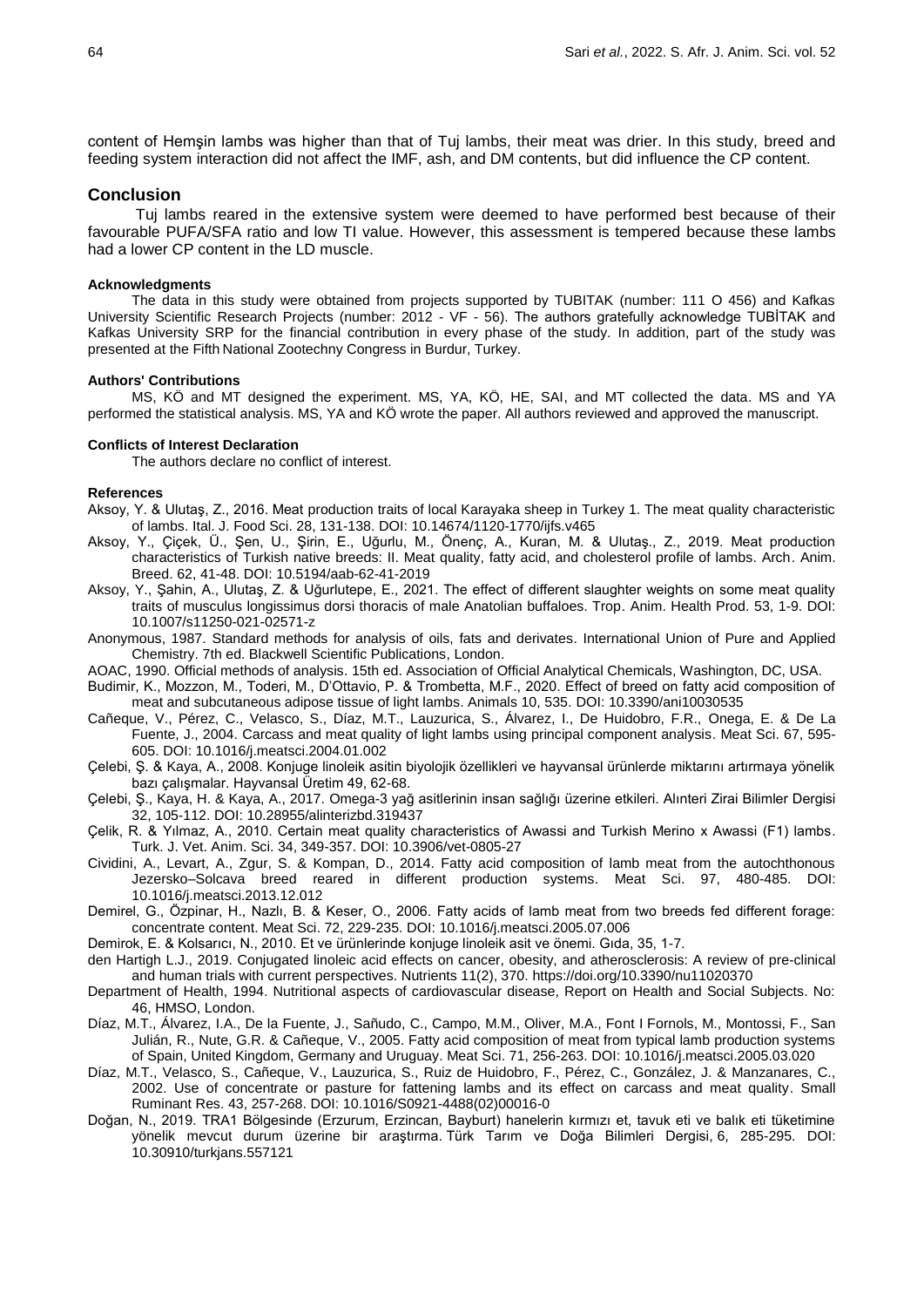content of Hemşin lambs was higher than that of Tuj lambs, their meat was drier. In this study, breed and feeding system interaction did not affect the IMF, ash, and DM contents, but did influence the CP content.

## **Conclusion**

Tuj lambs reared in the extensive system were deemed to have performed best because of their favourable PUFA/SFA ratio and low TI value. However, this assessment is tempered because these lambs had a lower CP content in the LD muscle.

#### **Acknowledgments**

The data in this study were obtained from projects supported by TUBITAK (number: 111 O 456) and Kafkas University Scientific Research Projects (number: 2012 - VF - 56). The authors gratefully acknowledge TUBİTAK and Kafkas University SRP for the financial contribution in every phase of the study. In addition, part of the study was presented at the Fifth National Zootechny Congress in Burdur, Turkey.

#### **Authors' Contributions**

MS, KÖ and MT designed the experiment. MS, YA, KÖ, HE, SAI, and MT collected the data. MS and YA performed the statistical analysis. MS, YA and KÖ wrote the paper. All authors reviewed and approved the manuscript.

### **Conflicts of Interest Declaration**

The authors declare no conflict of interest.

### **References**

- Aksoy, Y. & Ulutaş, Z., 2016. Meat production traits of local Karayaka sheep in Turkey 1. The meat quality characteristic of lambs. Ital. J. Food Sci. 28, 131-138. DOI: [10.14674/1120-1770/ijfs.v465](https://doi.org/10.14674/1120-1770/ijfs.v465)
- Aksoy, Y., Çiçek, Ü., Şen, U., Şirin, E., Uğurlu, M., Önenç, A., Kuran, M. & Ulutaş., Z., 2019. Meat production characteristics of Turkish native breeds: II. Meat quality, fatty acid, and cholesterol profile of lambs. Arch. Anim. Breed. 62, 41-48. DOI: 10.5194/aab-62-41-2019
- Aksoy, Y., Şahin, A., Ulutaş, Z. & Uğurlutepe, E., 2021. The effect of different slaughter weights on some meat quality traits of musculus longissimus dorsi thoracis of male Anatolian buffaloes. Trop. Anim. Health Prod. 53, 1-9. DOI: 10.1007/s11250-021-02571-z
- Anonymous, 1987. Standard methods for analysis of oils, fats and derivates. International Union of Pure and Applied Chemistry. 7th ed. Blackwell Scientific Publications, London.
- AOAC, 1990. Official methods of analysis. 15th ed. Association of Official Analytical Chemicals, Washington, DC, USA.
- Budimir, K., Mozzon, M., Toderi, M., D'Ottavio, P. & Trombetta, M.F., 2020. Effect of breed on fatty acid composition of meat and subcutaneous adipose tissue of light lambs. Animals 10, 535. DOI: [10.3390/ani10030535](https://doi.org/10.3390/ani10030535)
- [Cañeque,](https://europepmc.org/search?query=AUTH:%22V%20Ca%C3%B1eque%22) V., Pérez, C., Velasco, S., Díaz, M.T., Lauzurica, S., Álvarez, I., De Huidobro, F.R., Onega, E. & De La Fuente, J., 2004. Carcass and meat quality of light lambs using principal component analysis. Meat Sci. 67, 595- 605. DOI: [10.1016/j.meatsci.2004.01.002](https://doi.org/10.1016/j.meatsci.2004.01.002)
- Çelebi, Ş. & Kaya, A., 2008. Konjuge linoleik asitin biyolojik özellikleri ve hayvansal ürünlerde miktarını artırmaya yönelik bazı çalışmalar. Hayvansal Üretim 49, 62-68.
- Çelebi, Ş., Kaya, H. & Kaya, A., 2017. Omega-3 yağ asitlerinin insan sağlığı üzerine etkileri. Alınteri Zirai Bilimler Dergisi 32, 105-112. DOI: 10.28955/alinterizbd.319437
- Çelik, R. & Yılmaz, A., 2010. Certain meat quality characteristics of Awassi and Turkish Merino x Awassi (F1) lambs. Turk. J. Vet. Anim. Sci. 34, 349-357. DOI: 10.3906/vet-0805-27
- Cividini, A., Levart, A., Zgur, S. & Kompan, D., 2014. Fatty acid composition of lamb meat from the autochthonous Jezersko–Solcava breed reared in different production systems. Meat Sci. 97, 480-485. DOI: [10.1016/j.meatsci.2013.12.012](https://doi.org/10.1016/j.meatsci.2013.12.012)
- Demirel, G., Özpinar, H., Nazlı, B. & Keser, O., 2006. Fatty acids of lamb meat from two breeds fed different forage: concentrate content. Meat Sci. 72, 229-235. DOI: [10.1016/j.meatsci.2005.07.006](https://doi.org/10.1016/j.meatsci.2005.07.006)
- Demirok, E. & Kolsarıcı, N., 2010. Et ve ürünlerinde konjuge linoleik asit ve önemi. Gıda, 35, 1-7.
- den Hartigh L.J., 2019. Conjugated linoleic acid effects on cancer, obesity, and atherosclerosis: A review of pre-clinical and human trials with current perspectives. Nutrients 11(2), 370. https://doi.org/10.3390/nu11020370
- Department of Health, 1994. Nutritional aspects of cardiovascular disease, Report on Health and Social Subjects. No: 46, HMSO, London.
- Díaz, M.T., Álvarez, I.A., De la Fuente, J., Sañudo, C., Campo, M.M., Oliver, M.A., Font I Fornols, M., Montossi, F., San Julián, R., Nute, G.R. & Cañeque, V., 2005. Fatty acid composition of meat from typical lamb production systems of Spain, United Kingdom, Germany and Uruguay. Meat Sci. 71, 256-263. DOI: [10.1016/j.meatsci.2005.03.020](https://doi.org/10.1016/j.meatsci.2005.03.020)
- Díaz, M.T., Velasco, S., [Cañeque,](https://europepmc.org/search?query=AUTH:%22V%20Ca%C3%B1eque%22) V., Lauzurica, S., Ruiz de Huidobro, F., Pérez, C., González, J. & Manzanares, C., 2002. Use of concentrate or pasture for fattening lambs and its effect on carcass and meat quality. Small Ruminant Res. 43, 257-268. DOI: [10.1016/S0921-4488\(02\)00016-0](https://doi.org/10.1016/S0921-4488(02)00016-0)
- Doğan, N., 2019. TRA1 Bölgesinde (Erzurum, Erzincan, Bayburt) hanelerin kırmızı et, tavuk eti ve balık eti tüketimine yönelik mevcut durum üzerine bir araştırma. Türk Tarım ve Doğa Bilimleri Dergisi, 6, 285-295. DOI: [10.30910/turkjans.557121](https://doi.org/10.30910/turkjans.557121)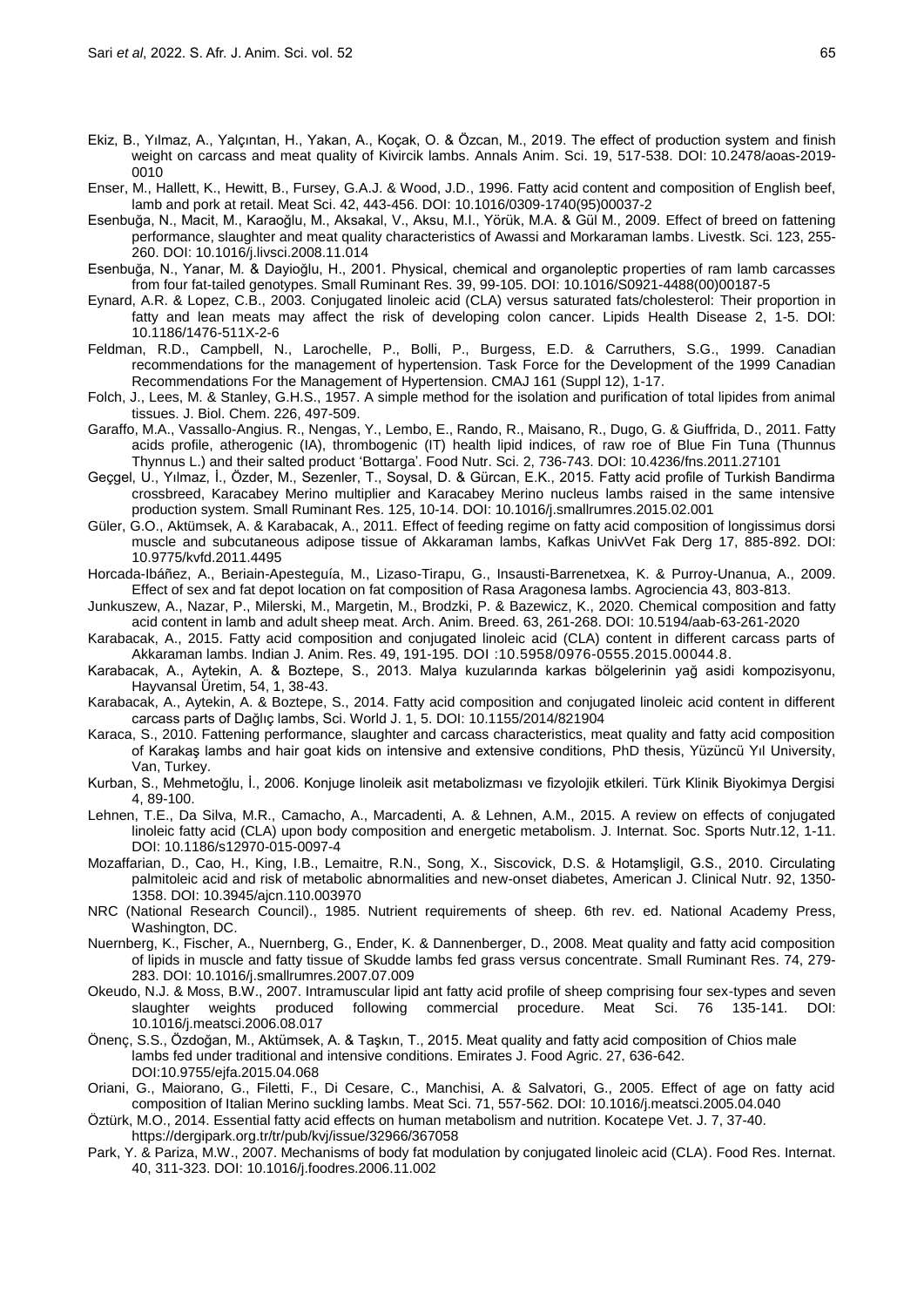- Ekiz, B., Yılmaz, A., Yalçıntan, H., Yakan, A., Koçak, O. & Özcan, M., 2019. The effect of production system and finish weight on carcass and meat quality of Kivircik lambs. Annals Anim. Sci. 19, 517-538. DOI: [10.2478/aoas-2019-](http://dx.doi.org/10.2478/aoas-2019-0010) [0010](http://dx.doi.org/10.2478/aoas-2019-0010)
- Enser, M., Hallett, K., Hewitt, B., Fursey, G.A.J. & Wood, J.D., 1996. Fatty acid content and composition of English beef, lamb and pork at retail. Meat Sci. 42, 443-456. DOI: [10.1016/0309-1740\(95\)00037-2](https://doi.org/10.1016/0309-1740(95)00037-2)
- Esenbuğa, N., Macit, M., Karaoğlu, M., Aksakal, V., Aksu, M.I., Yörük, M.A. & Gül M., 2009. Effect of breed on fattening performance, slaughter and meat quality characteristics of Awassi and Morkaraman lambs. Livestk. Sci. 123, 255- 260. DOI: [10.1016/j.livsci.2008.11.014](https://doi.org/10.1016/j.livsci.2008.11.014)
- Esenbuğa, N., Yanar, M. & Dayioğlu, H., 2001. Physical, chemical and organoleptic properties of ram lamb carcasses from four fat-tailed genotypes. Small Ruminant Res. 39, 99-105. DOI: [10.1016/S0921-4488\(00\)00187-5](https://doi.org/10.1016/S0921-4488(00)00187-5)
- Eynard, A.R. & Lopez, C.B., 2003. Conjugated linoleic acid (CLA) versus saturated fats/cholesterol: Their proportion in fatty and lean meats may affect the risk of developing colon cancer. Lipids Health Disease 2, 1-5. DOI: 10.1186/1476-511X-2-6
- Feldman, R.D., Campbell, N., Larochelle, P., Bolli, P., Burgess, E.D. & Carruthers, S.G., 1999. Canadian recommendations for the management of hypertension. Task Force for the Development of the 1999 Canadian Recommendations For the Management of Hypertension. CMAJ 161 (Suppl 12), 1-17.
- Folch, J., Lees, M. & Stanley, G.H.S., 1957. A simple method for the isolation and purification of total lipides from animal tissues. J. Biol. Chem. 226, 497-509.
- Garaffo, M.A., Vassallo-Angius. R., Nengas, Y., Lembo, E., Rando, R., Maisano, R., Dugo, G. & Giuffrida, D., 2011. Fatty acids profile, atherogenic (IA), thrombogenic (IT) health lipid indices, of raw roe of Blue Fin Tuna (Thunnus Thynnus L.) and their salted product 'Bottarga'. Food Nutr. Sci. 2, 736-743. DOI: 10.4236/fns.2011.27101
- Geçgel, U., Yılmaz, İ., Özder, M., Sezenler, T., Soysal, D. & Gürcan, E.K., 2015. Fatty acid profile of Turkish Bandirma crossbreed, Karacabey Merino multiplier and Karacabey Merino nucleus lambs raised in the same intensive production system. Small Ruminant Res. 125, 10-14. DOI: [10.1016/j.smallrumres.2015.02.001](https://doi.org/10.1016/j.smallrumres.2015.02.001)
- Güler, G.O., Aktümsek, A. & Karabacak, A., 2011. Effect of feeding regime on fatty acid composition of longissimus dorsi muscle and subcutaneous adipose tissue of Akkaraman lambs, Kafkas UnivVet Fak Derg 17, 885-892. DOI: 10.9775/kvfd.2011.4495
- Horcada-Ibáñez, A., Beriain-Apesteguía, M., Lizaso-Tirapu, G., Insausti-Barrenetxea, K. & Purroy-Unanua, A., 2009. Effect of sex and fat depot location on fat composition of Rasa Aragonesa lambs. Agrociencia 43, 803-813.
- Junkuszew, A., Nazar, P., Milerski, M., Margetin, M., Brodzki, P. & Bazewicz, K., 2020. Chemical composition and fatty acid content in lamb and adult sheep meat. Arch. Anim. Breed. 63, 261-268. DOI: 10.5194/aab-63-261-2020
- Karabacak, A., 2015. Fatty acid composition and conjugated linoleic acid (CLA) content in different carcass parts of Akkaraman lambs. Indian J. Anim. Res. 49, 191-195. DOI [:10.5958/0976-0555.2015.00044.8.](https://arccjournals.com/journal/indian-journal-of-animal-research/B-226)
- Karabacak, A., Aytekin, A. & Boztepe, S., 2013. Malya kuzularında karkas bölgelerinin yağ asidi kompozisyonu, Hayvansal Üretim, 54, 1, 38-43.
- Karabacak, A., Aytekin, A. & Boztepe, S., 2014. Fatty acid composition and conjugated linoleic acid content in different carcass parts of Dağlıç lambs, Sci. World J. 1, 5. DOI: [10.1155/2014/821904](https://doi.org/10.1155/2014/821904)
- Karaca, S., 2010. Fattening performance, slaughter and carcass characteristics, meat quality and fatty acid composition of Karakaş lambs and hair goat kids on intensive and extensive conditions, PhD thesis, Yüzüncü Yıl University, Van, Turkey.
- Kurban, S., Mehmetoğlu, İ., 2006. Konjuge linoleik asit metabolizması ve fizyolojik etkileri. Türk Klinik Biyokimya Dergisi 4, 89-100.
- Lehnen, T.E., Da Silva, M.R., Camacho, A., Marcadenti, A. & Lehnen, A.M., 2015. A review on effects of conjugated linoleic fatty acid (CLA) upon body composition and energetic metabolism. J. Internat. Soc. Sports Nutr.12, 1-11. DOI: 10.1186/s12970-015-0097-4
- Mozaffarian, D., Cao, H., King, I.B., Lemaitre, R.N., Song, X., Siscovick, D.S. & Hotamşligil, G.S., 2010. Circulating palmitoleic acid and risk of metabolic abnormalities and new-onset diabetes, American J. Clinical Nutr. 92, 1350- 1358. DOI: [10.3945/ajcn.110.003970](https://doi.org/10.3945/ajcn.110.003970)
- NRC (National Research Council)., 1985. Nutrient requirements of sheep. 6th rev. ed. National Academy Press, Washington, DC.
- Nuernberg, K., Fischer, A., Nuernberg, G., Ender, K. & Dannenberger, D., 2008. Meat quality and fatty acid composition of lipids in muscle and fatty tissue of Skudde lambs fed grass versus concentrate. Small Ruminant Res. 74, 279- 283. DOI: [10.1016/j.smallrumres.2007.07.009](https://doi.org/10.1016/j.smallrumres.2007.07.009)
- Okeudo, N.J. & Moss, B.W., 2007. Intramuscular lipid ant fatty acid profile of sheep comprising four sex-types and seven slaughter weights produced following commercial procedure. Meat Sci. 76 135-141. DOI: [10.1016/j.meatsci.2006.08.017](https://doi.org/10.1016/j.meatsci.2006.08.017)
- Önenç, S.S., Özdoğan, M., Aktümsek, A. & Taşkın, T., 2015. Meat quality and fatty acid composition of Chios male lambs fed under traditional and intensive conditions. Emirates J. Food Agric. 27, 636-642. DOI:10.9755/ejfa.2015.04.068
- Oriani, G., Maiorano, G., Filetti, F., Di Cesare, C., Manchisi, A. & Salvatori, G., 2005. Effect of age on fatty acid composition of Italian Merino suckling lambs. Meat Sci. 71, 557-562. DOI: [10.1016/j.meatsci.2005.04.040](https://doi.org/10.1016/j.meatsci.2005.04.040)
- Öztürk, M.O., 2014. Essential fatty acid effects on human metabolism and nutrition. Kocatepe Vet. J. 7, 37-40. https://dergipark.org.tr/tr/pub/kvj/issue/32966/367058
- Park, Y. & Pariza, M.W., 2007. Mechanisms of body fat modulation by conjugated linoleic acid (CLA). Food Res. Internat. 40, 311-323. DOI: [10.1016/j.foodres.2006.11.002](https://doi.org/10.1016/j.foodres.2006.11.002)